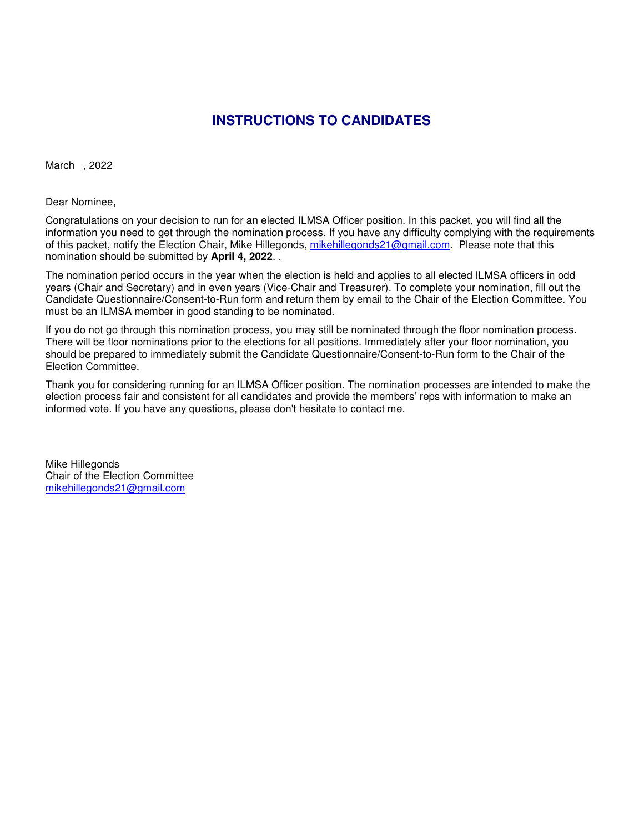# **INSTRUCTIONS TO CANDIDATES**

March , 2022

Dear Nominee,

Congratulations on your decision to run for an elected ILMSA Officer position. In this packet, you will find all the information you need to get through the nomination process. If you have any difficulty complying with the requirements of this packet, notify the Election Chair, Mike Hillegonds, mikehillegonds21@gmail.com. Please note that this nomination should be submitted by **April 4, 2022**. .

The nomination period occurs in the year when the election is held and applies to all elected ILMSA officers in odd years (Chair and Secretary) and in even years (Vice-Chair and Treasurer). To complete your nomination, fill out the Candidate Questionnaire/Consent-to-Run form and return them by email to the Chair of the Election Committee. You must be an ILMSA member in good standing to be nominated.

If you do not go through this nomination process, you may still be nominated through the floor nomination process. There will be floor nominations prior to the elections for all positions. Immediately after your floor nomination, you should be prepared to immediately submit the Candidate Questionnaire/Consent-to-Run form to the Chair of the Election Committee.

Thank you for considering running for an ILMSA Officer position. The nomination processes are intended to make the election process fair and consistent for all candidates and provide the members' reps with information to make an informed vote. If you have any questions, please don't hesitate to contact me.

Mike Hillegonds Chair of the Election Committee mikehillegonds21@gmail.com